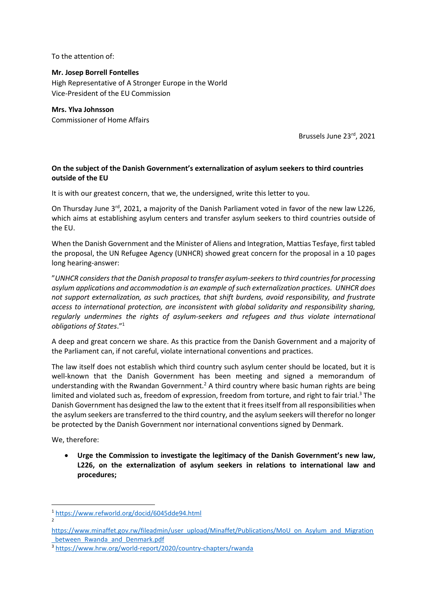To the attention of:

## **Mr. Josep Borrell Fontelles**

High Representative of A Stronger Europe in the World Vice-President of the EU Commission

## **Mrs. Ylva Johnsson**

Commissioner of Home Affairs

Brussels June 23rd, 2021

## **On the subject of the Danish Government's externalization of asylum seekers to third countries outside of the EU**

It is with our greatest concern, that we, the undersigned, write this letter to you.

On Thursday June 3<sup>rd</sup>, 2021, a majority of the Danish Parliament voted in favor of the new law L226, which aims at establishing asylum centers and transfer asylum seekers to third countries outside of the EU.

When the Danish Government and the Minister of Aliens and Integration, Mattias Tesfaye, first tabled the proposal, the UN Refugee Agency (UNHCR) showed great concern for the proposal in a 10 pages long hearing-answer:

"*UNHCR considers that the Danish proposal to transfer asylum-seekers to third countries for processing asylum applications and accommodation is an example of such externalization practices. UNHCR does not support externalization, as such practices, that shift burdens, avoid responsibility, and frustrate access to international protection, are inconsistent with global solidarity and responsibility sharing, regularly undermines the rights of asylum-seekers and refugees and thus violate international obligations of States*." 1

A deep and great concern we share. As this practice from the Danish Government and a majority of the Parliament can, if not careful, violate international conventions and practices.

The law itself does not establish which third country such asylum center should be located, but it is well-known that the Danish Government has been meeting and signed a memorandum of understanding with the Rwandan Government.<sup>2</sup> A third country where basic human rights are being limited and violated such as, freedom of expression, freedom from torture, and right to fair trial.<sup>3</sup> The Danish Government has designed the law to the extent that it frees itself from all responsibilities when the asylum seekers are transferred to the third country, and the asylum seekers will therefor no longer be protected by the Danish Government nor international conventions signed by Denmark.

We, therefore:

 **Urge the Commission to investigate the legitimacy of the Danish Government's new law, L226, on the externalization of asylum seekers in relations to international law and procedures;**

**.** 

<sup>1</sup> <https://www.refworld.org/docid/6045dde94.html>

<sup>2</sup>

[https://www.minaffet.gov.rw/fileadmin/user\\_upload/Minaffet/Publications/MoU\\_on\\_Asylum\\_and\\_Migration](https://www.minaffet.gov.rw/fileadmin/user_upload/Minaffet/Publications/MoU_on_Asylum_and_Migration_between_Rwanda_and_Denmark.pdf) between Rwanda and Denmark.pdf

<sup>3</sup> <https://www.hrw.org/world-report/2020/country-chapters/rwanda>